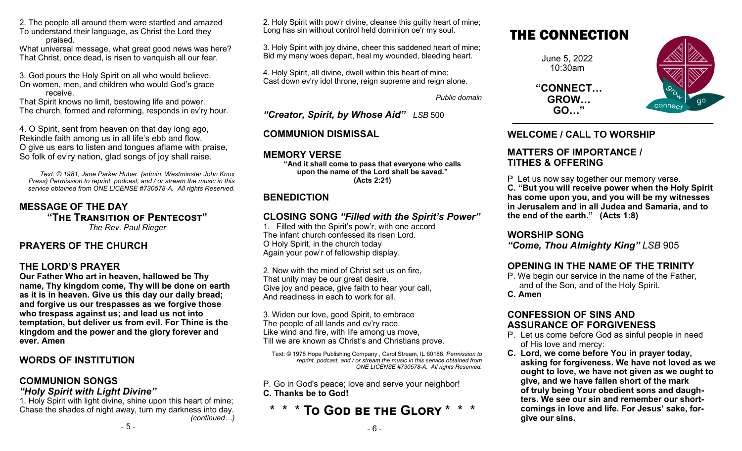2. The people all around them were startled and amazed To understand their language, as Christ the Lord they praised.

What universal message, what great good news was here? That Christ, once dead, is risen to vanquish all our fear.

3. God pours the Holy Spirit on all who would believe, On women, men, and children who would God's grace receive.

That Spirit knows no limit, bestowing life and power. The church, formed and reforming, responds in ev'ry hour.

4. O Spirit, sent from heaven on that day long ago, Rekindle faith among us in all life's ebb and flow. O give us ears to listen and tongues aflame with praise, So folk of ev'ry nation, glad songs of joy shall raise.

*Text: © 1981, Jane Parker Huber. (admin. Westminster John Knox Press) Permission to reprint, podcast, and / or stream the music in this service obtained from ONE LICENSE #730578-A. All rights Reserved.* 

**MESSAGE OF THE DAY "The Transition of Pentecost"** *The Rev. Paul Rieger*

#### **PRAYERS OF THE CHURCH**

#### **THE LORD'S PRAYER**

**Our Father Who art in heaven, hallowed be Thy name, Thy kingdom come, Thy will be done on earth as it is in heaven. Give us this day our daily bread; and forgive us our trespasses as we forgive those who trespass against us; and lead us not into temptation, but deliver us from evil. For Thine is the kingdom and the power and the glory forever and ever. Amen**

# **WORDS OF INSTITUTION**

#### **COMMUNION SONGS**

#### *"Holy Spirit with Light Divine"*

1. Holy Spirit with light divine, shine upon this heart of mine; Chase the shades of night away, turn my darkness into day. *(continued…)*

- 5 -

2. Holy Spirit with pow'r divine, cleanse this guilty heart of mine; Long has sin without control held dominion oe'r my soul.

3. Holy Spirit with joy divine, cheer this saddened heart of mine; Bid my many woes depart, heal my wounded, bleeding heart.

4. Holy Spirit, all divine, dwell within this heart of mine; Cast down ev'ry idol throne, reign supreme and reign alone.

*Public domain*

*"Creator, Spirit, by Whose Aid" LSB* 500

# **COMMUNION DISMISSAL**

## **MEMORY VERSE**

**"And it shall come to pass that everyone who calls upon the name of the Lord shall be saved." (Acts 2:21)**

## **BENEDICTION**

# **CLOSING SONG** *"Filled with the Spirit's Power"*

1. Filled with the Spirit's pow'r, with one accord The infant church confessed its risen Lord. O Holy Spirit, in the church today Again your pow'r of fellowship display.

2. Now with the mind of Christ set us on fire, That unity may be our great desire. Give joy and peace, give faith to hear your call, And readiness in each to work for all.

3. Widen our love, good Spirit, to embrace The people of all lands and ev'ry race. Like wind and fire, with life among us move, Till we are known as Christ's and Christians prove.

Text: © 1978 Hope Publishing Company , Carol Stream, IL 60188. *Permission to reprint, podcast, and / or stream the music in this service obtained from ONE LICENSE #730578-A. All rights Reserved.* 

P. Go in God's peace; love and serve your neighbor! **C. Thanks be to God!**

# \* \* \* **To God be the Glory** \* \* \*

- 6 -

# THE CONNECTION

June 5, 2022 10:30am

**"CONNECT… GROW… GO…"**



# **WELCOME / CALL TO WORSHIP**

#### **MATTERS OF IMPORTANCE / TITHES & OFFERING**

P Let us now say together our memory verse.

**C. "But you will receive power when the Holy Spirit has come upon you, and you will be my witnesses in Jerusalem and in all Judea and Samaria, and to the end of the earth." (Acts 1:8)**

#### **WORSHIP SONG**

*"Come, Thou Almighty King" LSB* 905

# **OPENING IN THE NAME OF THE TRINITY**

P. We begin our service in the name of the Father, and of the Son, and of the Holy Spirit. **C. Amen**

## **CONFESSION OF SINS AND ASSURANCE OF FORGIVENESS**

- P. Let us come before God as sinful people in need of His love and mercy:
- **C. Lord, we come before You in prayer today, asking for forgiveness. We have not loved as we ought to love, we have not given as we ought to give, and we have fallen short of the mark of truly being Your obedient sons and daughters. We see our sin and remember our shortcomings in love and life. For Jesus' sake, forgive our sins.**